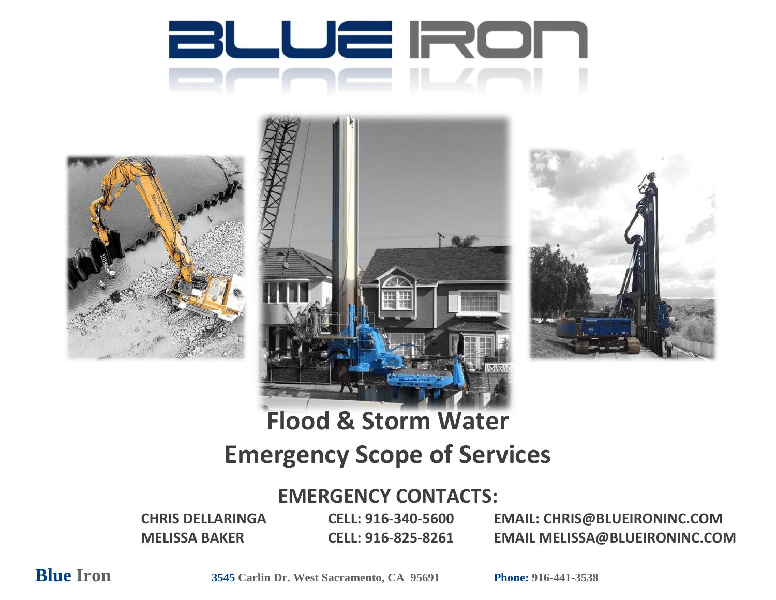







# **Flood & Storm Water Emergency Scope of Services**

## **EMERGENCY CONTACTS:**

**CHRIS DELLARINGA CELL: 916-340-5600 EMAIL: CHRIS@BLUEIRONINC.COM MELISSA BAKER CELL: 916-825-8261 EMAIL MELISSA@BLUEIRONINC.COM**

**Blue Iron 3545 Carlin Dr. West Sacramento, CA 95691 Phone: 916-441-3538**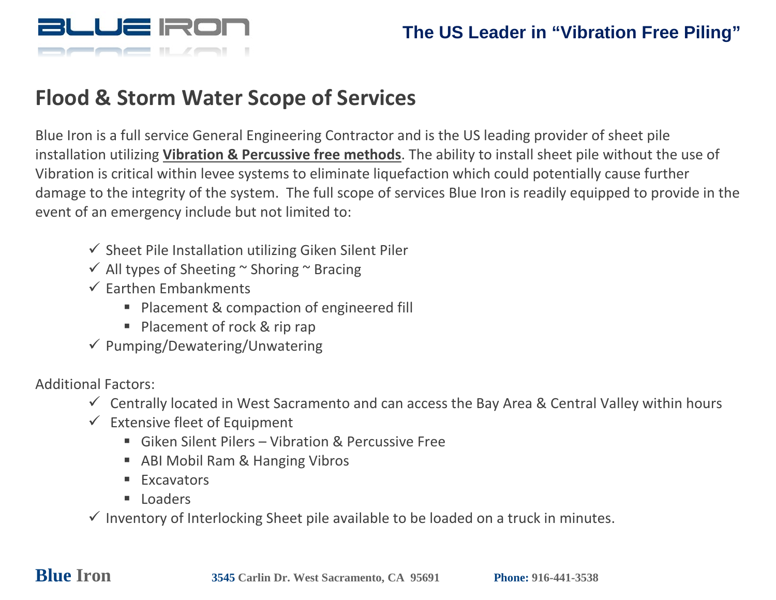

## **Flood & Storm Water Scope of Services**

Blue Iron is a full service General Engineering Contractor and is the US leading provider of sheet pile installation utilizing **Vibration & Percussive free methods**. The ability to install sheet pile without the use of Vibration is critical within levee systems to eliminate liquefaction which could potentially cause further damage to the integrity of the system. The full scope of services Blue Iron is readily equipped to provide in the event of an emergency include but not limited to:

- $\checkmark$  Sheet Pile Installation utilizing Giken Silent Piler
- $\checkmark$  All types of Sheeting  $\checkmark$  Shoring  $\checkmark$  Bracing
- $\checkmark$  Earthen Embankments
	- **Placement & compaction of engineered fill**
	- Placement of rock & rip rap
- $\checkmark$  Pumping/Dewatering/Unwatering

Additional Factors:

- $\checkmark$  Centrally located in West Sacramento and can access the Bay Area & Central Valley within hours
- $\checkmark$  Extensive fleet of Equipment
	- Giken Silent Pilers Vibration & Percussive Free
	- ABI Mobil Ram & Hanging Vibros
	- **Excavators**
	- **Loaders**

 $\checkmark$  Inventory of Interlocking Sheet pile available to be loaded on a truck in minutes.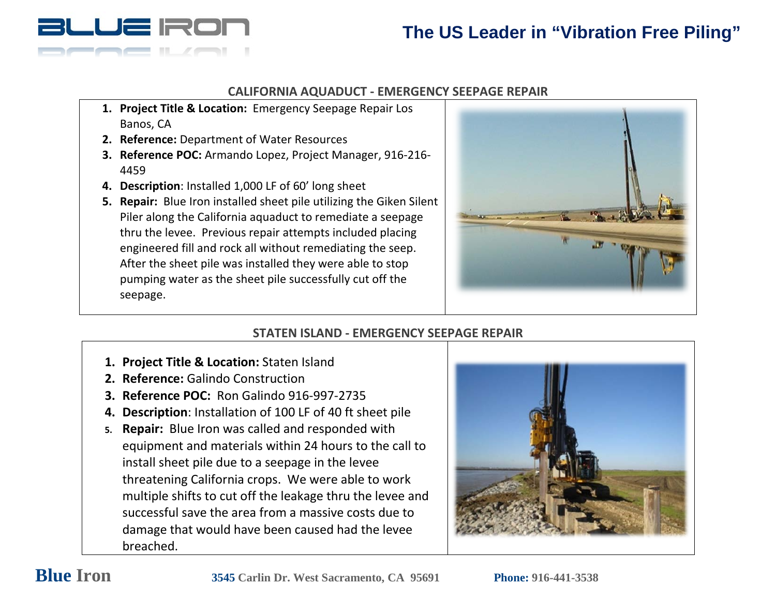

### **CALIFORNIA AQUADUCT - EMERGENCY SEEPAGE REPAIR**

- **1. Project Title & Location:** Emergency Seepage Repair Los Banos, CA
- **2. Reference:** Department of Water Resources
- **3. Reference POC:** Armando Lopez, Project Manager, 916-216- 4459
- **4. Description**: Installed 1,000 LF of 60' long sheet
- **5. Repair:** Blue Iron installed sheet pile utilizing the Giken Silent Piler along the California aquaduct to remediate a seepage thru the levee. Previous repair attempts included placing engineered fill and rock all without remediating the seep. After the sheet pile was installed they were able to stop pumping water as the sheet pile successfully cut off the seepage.



### **STATEN ISLAND - EMERGENCY SEEPAGE REPAIR**

- **1. Project Title & Location:** Staten Island
- **2. Reference:** Galindo Construction
- **3. Reference POC:** Ron Galindo 916-997-2735
- **4. Description**: Installation of 100 LF of 40 ft sheet pile
- **5. Repair:** Blue Iron was called and responded with equipment and materials within 24 hours to the call to install sheet pile due to a seepage in the levee threatening California crops. We were able to work multiple shifts to cut off the leakage thru the levee and successful save the area from a massive costs due to damage that would have been caused had the levee breached.

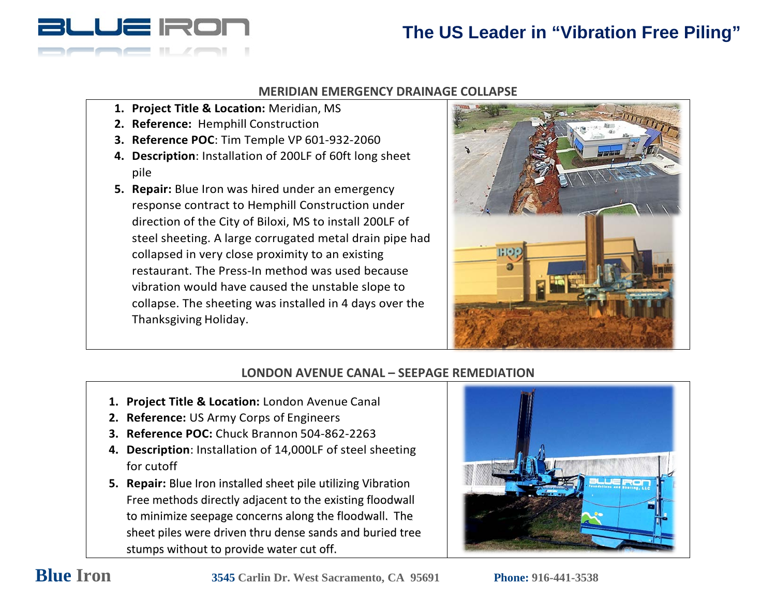

### **MERIDIAN EMERGENCY DRAINAGE COLLAPSE**

- **1. Project Title & Location:** Meridian, MS
- **2. Reference:** Hemphill Construction
- **3. Reference POC**: Tim Temple VP 601-932-2060
- **4. Description**: Installation of 200LF of 60ft long sheet pile
- **5. Repair:** Blue Iron was hired under an emergency response contract to Hemphill Construction under direction of the City of Biloxi, MS to install 200LF of steel sheeting. A large corrugated metal drain pipe had collapsed in very close proximity to an existing restaurant. The Press-In method was used because vibration would have caused the unstable slope to collapse. The sheeting was installed in 4 days over the Thanksgiving Holiday.



### **LONDON AVENUE CANAL – SEEPAGE REMEDIATION**

- **1. Project Title & Location:** London Avenue Canal
- **2. Reference:** US Army Corps of Engineers
- **3. Reference POC:** Chuck Brannon 504-862-2263
- **4. Description**: Installation of 14,000LF of steel sheeting for cutoff
- **5. Repair:** Blue Iron installed sheet pile utilizing Vibration Free methods directly adjacent to the existing floodwall to minimize seepage concerns along the floodwall. The sheet piles were driven thru dense sands and buried tree stumps without to provide water cut off.

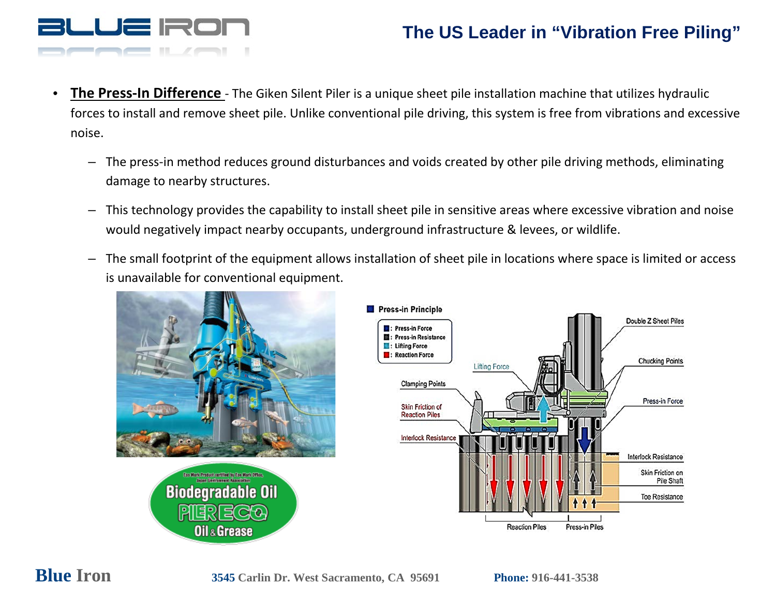

- **The Press-In Difference**  The Giken Silent Piler is a unique sheet pile installation machine that utilizes hydraulic forces to install and remove sheet pile. Unlike conventional pile driving, this system is free from vibrations and excessive noise.
	- The press-in method reduces ground disturbances and voids created by other pile driving methods, eliminating damage to nearby structures.
	- This technology provides the capability to install sheet pile in sensitive areas where excessive vibration and noise would negatively impact nearby occupants, underground infrastructure & levees, or wildlife.
	- The small footprint of the equipment allows installation of sheet pile in locations where space is limited or access is unavailable for conventional equipment.